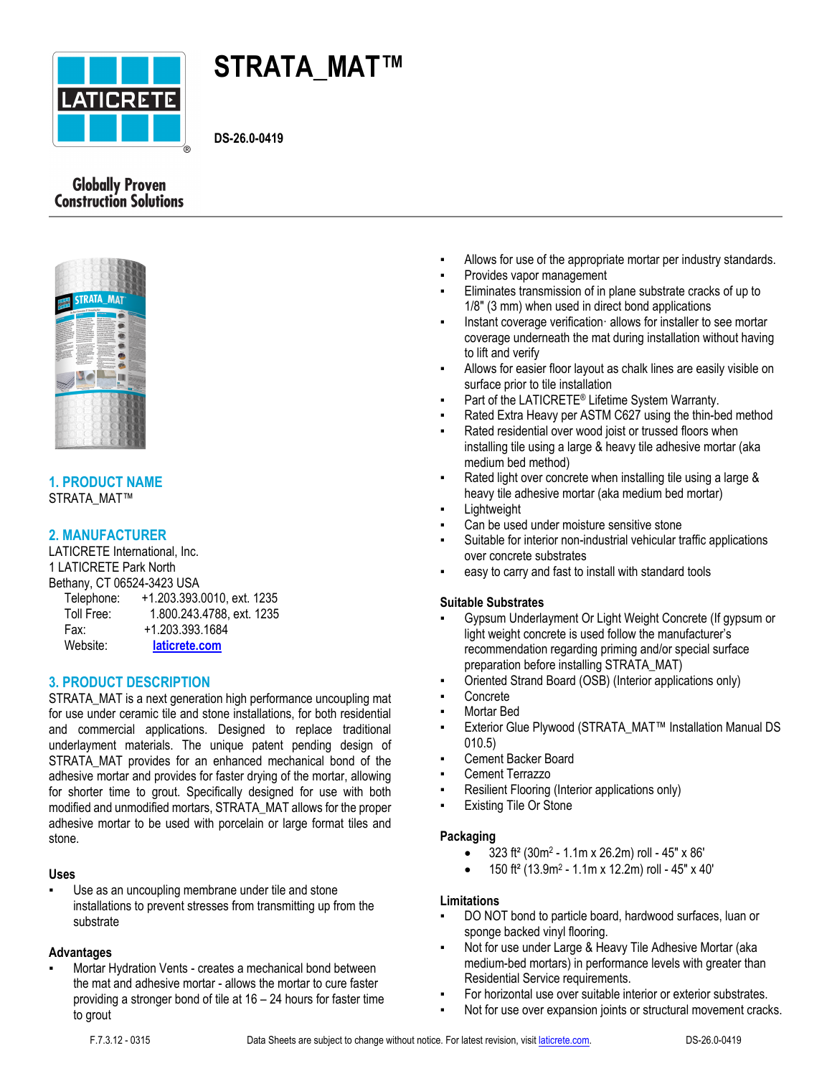

# **STRATA\_MAT™**

**DS-26.0-0419**

# **Globally Proven Construction Solutions**



# **1. PRODUCT NAME** STRATA\_MAT™

# **2. MANUFACTURER**

LATICRETE International, Inc. 1 LATICRETE Park North Bethany, CT 06524-3423 USA

| Telephone: | +1.203.393.0010, ext. 1235 |
|------------|----------------------------|
| Toll Free: | 1.800.243.4788, ext. 1235  |
| Fax:       | +1.203.393.1684            |
| Website:   | laticrete.com              |

# **3. PRODUCT DESCRIPTION**

STRATA\_MAT is a next generation high performance uncoupling mat for use under ceramic tile and stone installations, for both residential and commercial applications. Designed to replace traditional underlayment materials. The unique patent pending design of STRATA\_MAT provides for an enhanced mechanical bond of the adhesive mortar and provides for faster drying of the mortar, allowing for shorter time to grout. Specifically designed for use with both modified and unmodified mortars, STRATA\_MAT allows for the proper adhesive mortar to be used with porcelain or large format tiles and stone.

# **Uses**

Use as an uncoupling membrane under tile and stone installations to prevent stresses from transmitting up from the substrate

# **Advantages**

Mortar Hydration Vents - creates a mechanical bond between the mat and adhesive mortar - allows the mortar to cure faster providing a stronger bond of tile at 16 – 24 hours for faster time to grout

- Allows for use of the appropriate mortar per industry standards.
- Provides vapor management
- Eliminates transmission of in plane substrate cracks of up to 1/8" (3 mm) when used in direct bond applications
- Instant coverage verification allows for installer to see mortar coverage underneath the mat during installation without having to lift and verify
- Allows for easier floor layout as chalk lines are easily visible on surface prior to tile installation
- **•** Part of the LATICRETE<sup>®</sup> Lifetime System Warranty.
- Rated Extra Heavy per ASTM C627 using the thin-bed method
- Rated residential over wood joist or trussed floors when installing tile using a large & heavy tile adhesive mortar (aka medium bed method)
- Rated light over concrete when installing tile using a large & heavy tile adhesive mortar (aka medium bed mortar)
- Lightweight
- Can be used under moisture sensitive stone
- Suitable for interior non-industrial vehicular traffic applications over concrete substrates
- easy to carry and fast to install with standard tools

# **Suitable Substrates**

- Gypsum Underlayment Or Light Weight Concrete (If gypsum or light weight concrete is used follow the manufacturer's recommendation regarding priming and/or special surface preparation before installing STRATA\_MAT)
- Oriented Strand Board (OSB) (Interior applications only)
- **Concrete**
- Mortar Bed
- Exterior Glue Plywood (STRATA\_MAT™ Installation Manual DS 010.5)
- Cement Backer Board
- Cement Terrazzo
- Resilient Flooring (Interior applications only)
- **Existing Tile Or Stone**

# **Packaging**

- $\bullet$  323 ft<sup>2</sup> (30m<sup>2</sup> 1.1m x 26.2m) roll 45" x 86'
- $\bullet$  150 ft<sup>2</sup> (13.9m<sup>2</sup> 1.1m x 12.2m) roll 45" x 40"

# **Limitations**

- DO NOT bond to particle board, hardwood surfaces, luan or sponge backed vinyl flooring.
- Not for use under Large & Heavy Tile Adhesive Mortar (aka medium-bed mortars) in performance levels with greater than Residential Service requirements.
- For horizontal use over suitable interior or exterior substrates.
- Not for use over expansion joints or structural movement cracks.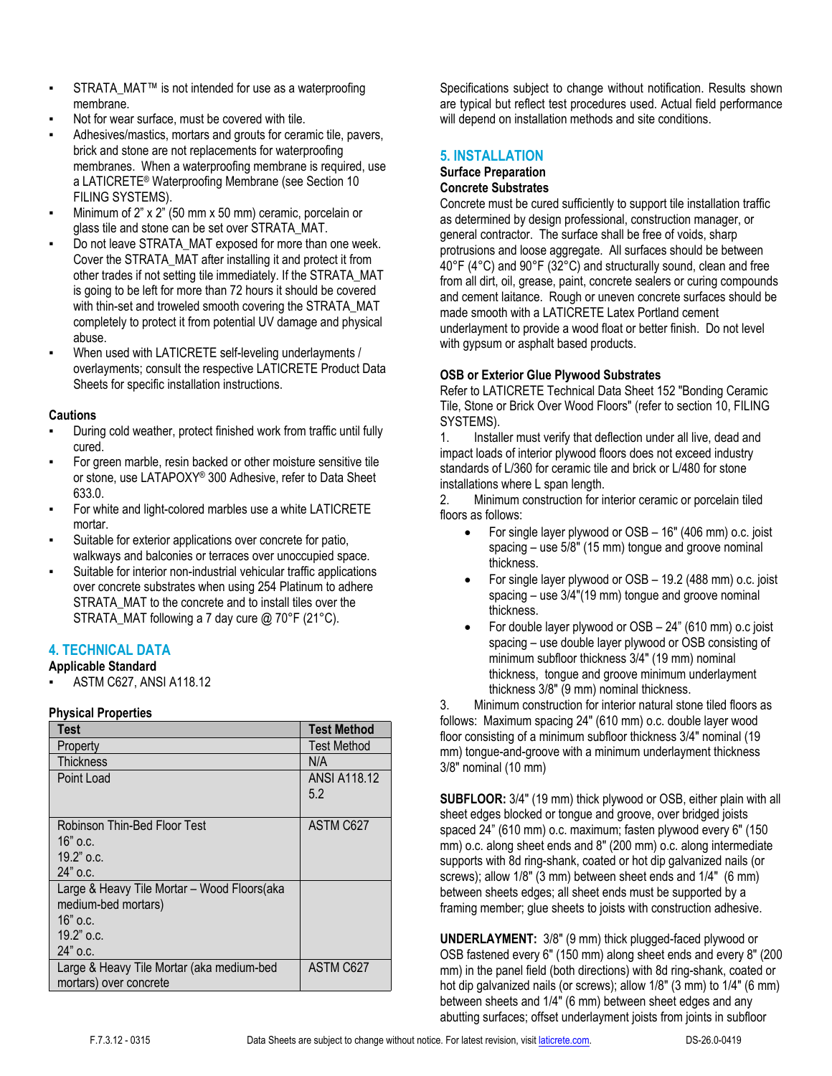- STRATA\_MAT™ is not intended for use as a waterproofing membrane.
- Not for wear surface, must be covered with tile.
- Adhesives/mastics, mortars and grouts for ceramic tile, pavers, brick and stone are not replacements for waterproofing membranes. When a waterproofing membrane is required, use a LATICRETE® Waterproofing Membrane (see Section 10 FILING SYSTEMS).
- Minimum of  $2$ " x  $2$ " (50 mm x 50 mm) ceramic, porcelain or glass tile and stone can be set over STRATA\_MAT.
- Do not leave STRATA\_MAT exposed for more than one week. Cover the STRATA\_MAT after installing it and protect it from other trades if not setting tile immediately. If the STRATA\_MAT is going to be left for more than 72 hours it should be covered with thin-set and troweled smooth covering the STRATA\_MAT completely to protect it from potential UV damage and physical abuse.
- When used with LATICRETE self-leveling underlayments / overlayments; consult the respective LATICRETE Product Data Sheets for specific installation instructions.

## **Cautions**

- During cold weather, protect finished work from traffic until fully cured.
- For green marble, resin backed or other moisture sensitive tile or stone, use LATAPOXY® 300 Adhesive, refer to Data Sheet 633.0.
- For white and light-colored marbles use a white LATICRETE mortar.
- Suitable for exterior applications over concrete for patio, walkways and balconies or terraces over unoccupied space.
- Suitable for interior non-industrial vehicular traffic applications over concrete substrates when using 254 Platinum to adhere STRATA\_MAT to the concrete and to install tiles over the STRATA\_MAT following a 7 day cure @ 70°F (21°C).

# **4. TECHNICAL DATA**

**Applicable Standard**

ASTM C627, ANSI A118.12

#### **Physical Properties**

| Test                                                               | <b>Test Method</b>         |
|--------------------------------------------------------------------|----------------------------|
| Property                                                           | <b>Test Method</b>         |
| <b>Thickness</b>                                                   | N/A                        |
| Point Load                                                         | <b>ANSI A118.12</b><br>5.2 |
| Robinson Thin-Bed Floor Test                                       | ASTM C627                  |
| $16"$ o.c.                                                         |                            |
| $19.2$ " o.c.                                                      |                            |
| $24"$ o.c.                                                         |                            |
| Large & Heavy Tile Mortar - Wood Floors(aka<br>medium-bed mortars) |                            |
| $16"$ o.c.                                                         |                            |
| $19.2$ " o.c.                                                      |                            |
| 24" o.c.                                                           |                            |
| Large & Heavy Tile Mortar (aka medium-bed                          | ASTM C627                  |
| mortars) over concrete                                             |                            |

Specifications subject to change without notification. Results shown are typical but reflect test procedures used. Actual field performance will depend on installation methods and site conditions.

# **5. INSTALLATION**

#### **Surface Preparation Concrete Substrates**

Concrete must be cured sufficiently to support tile installation traffic as determined by design professional, construction manager, or general contractor. The surface shall be free of voids, sharp protrusions and loose aggregate. All surfaces should be between 40°F (4°C) and 90°F (32°C) and structurally sound, clean and free from all dirt, oil, grease, paint, concrete sealers or curing compounds and cement laitance. Rough or uneven concrete surfaces should be made smooth with a LATICRETE Latex Portland cement underlayment to provide a wood float or better finish. Do not level with gypsum or asphalt based products.

## **OSB or Exterior Glue Plywood Substrates**

Refer to LATICRETE Technical Data Sheet 152 "Bonding Ceramic Tile, Stone or Brick Over Wood Floors" (refer to section 10, FILING SYSTEMS).

1. Installer must verify that deflection under all live, dead and impact loads of interior plywood floors does not exceed industry standards of L/360 for ceramic tile and brick or L/480 for stone installations where L span length.

2. Minimum construction for interior ceramic or porcelain tiled floors as follows:

- For single layer plywood or OSB 16" (406 mm) o.c. joist spacing – use 5/8" (15 mm) tongue and groove nominal thickness.
- For single layer plywood or OSB 19.2 (488 mm) o.c. joist spacing – use 3/4"(19 mm) tongue and groove nominal thickness.
- For double layer plywood or OSB 24" (610 mm) o.c joist spacing – use double layer plywood or OSB consisting of minimum subfloor thickness 3/4" (19 mm) nominal thickness, tongue and groove minimum underlayment thickness 3/8" (9 mm) nominal thickness.

3. Minimum construction for interior natural stone tiled floors as follows: Maximum spacing 24" (610 mm) o.c. double layer wood floor consisting of a minimum subfloor thickness 3/4" nominal (19 mm) tongue-and-groove with a minimum underlayment thickness 3/8" nominal (10 mm)

**SUBFLOOR:** 3/4" (19 mm) thick plywood or OSB, either plain with all sheet edges blocked or tongue and groove, over bridged joists spaced 24" (610 mm) o.c. maximum; fasten plywood every 6" (150 mm) o.c. along sheet ends and 8" (200 mm) o.c. along intermediate supports with 8d ring-shank, coated or hot dip galvanized nails (or screws); allow 1/8" (3 mm) between sheet ends and 1/4" (6 mm) between sheets edges; all sheet ends must be supported by a framing member; glue sheets to joists with construction adhesive.

**UNDERLAYMENT:** 3/8" (9 mm) thick plugged-faced plywood or OSB fastened every 6" (150 mm) along sheet ends and every 8" (200 mm) in the panel field (both directions) with 8d ring-shank, coated or hot dip galvanized nails (or screws); allow 1/8" (3 mm) to 1/4" (6 mm) between sheets and 1/4" (6 mm) between sheet edges and any abutting surfaces; offset underlayment joists from joints in subfloor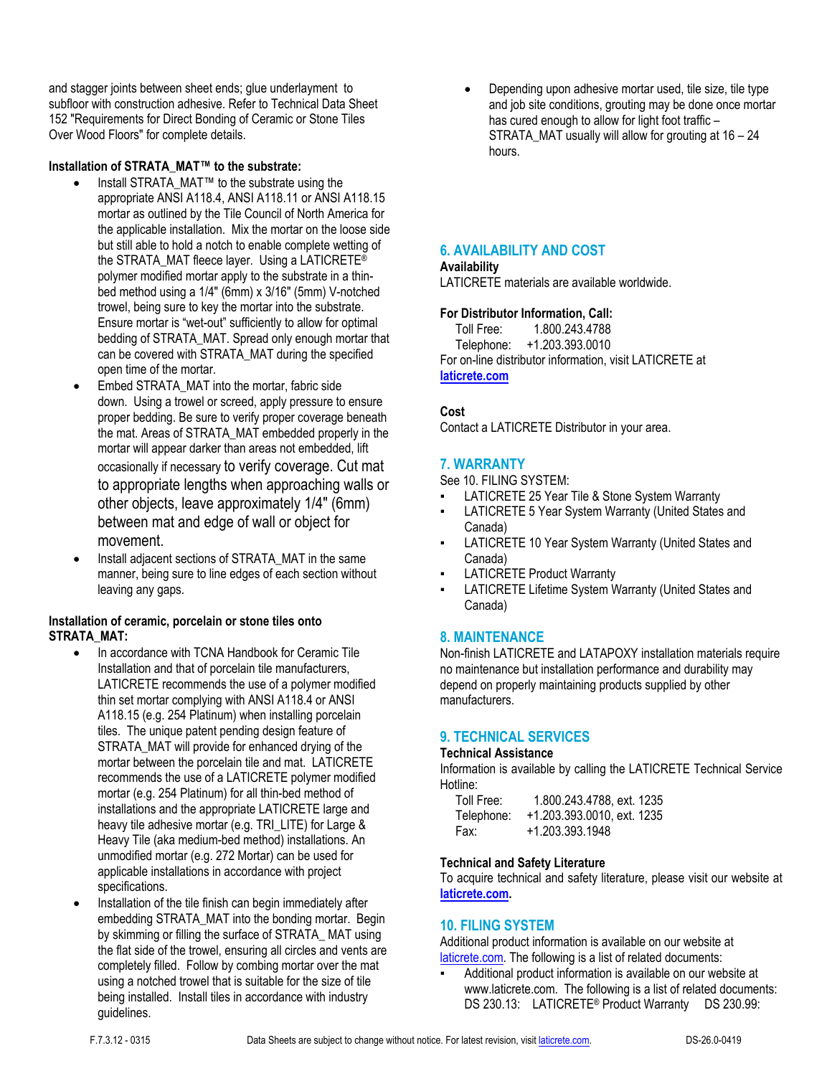and stagger joints between sheet ends; glue underlayment to subfloor with construction adhesive. Refer to Technical Data Sheet 152 "Requirements for Direct Bonding of Ceramic or Stone Tiles Over Wood Floors" for complete details.

#### **Installation of STRATA\_MAT™ to the substrate:**

- Install STRATA\_MAT™ to the substrate using the appropriate ANSI A118.4, ANSI A118.11 or ANSI A118.15 mortar as outlined by the Tile Council of North America for the applicable installation. Mix the mortar on the loose side but still able to hold a notch to enable complete wetting of the STRATA\_MAT fleece layer. Using a LATICRETE® polymer modified mortar apply to the substrate in a thinbed method using a 1/4" (6mm) x 3/16" (5mm) V-notched trowel, being sure to key the mortar into the substrate. Ensure mortar is "wet-out" sufficiently to allow for optimal bedding of STRATA\_MAT. Spread only enough mortar that can be covered with STRATA\_MAT during the specified open time of the mortar.
- Embed STRATA\_MAT into the mortar, fabric side down. Using a trowel or screed, apply pressure to ensure proper bedding. Be sure to verify proper coverage beneath the mat. Areas of STRATA\_MAT embedded properly in the mortar will appear darker than areas not embedded, lift occasionally if necessary to verify coverage. Cut mat to appropriate lengths when approaching walls or other objects, leave approximately 1/4" (6mm) between mat and edge of wall or object for movement.
- Install adjacent sections of STRATA\_MAT in the same manner, being sure to line edges of each section without leaving any gaps.

## **Installation of ceramic, porcelain or stone tiles onto STRATA\_MAT:**

- In accordance with TCNA Handbook for Ceramic Tile Installation and that of porcelain tile manufacturers, LATICRETE recommends the use of a polymer modified thin set mortar complying with ANSI A118.4 or ANSI A118.15 (e.g. 254 Platinum) when installing porcelain tiles. The unique patent pending design feature of STRATA\_MAT will provide for enhanced drying of the mortar between the porcelain tile and mat. LATICRETE recommends the use of a LATICRETE polymer modified mortar (e.g. 254 Platinum) for all thin-bed method of installations and the appropriate LATICRETE large and heavy tile adhesive mortar (e.g. TRI\_LITE) for Large & Heavy Tile (aka medium-bed method) installations. An unmodified mortar (e.g. 272 Mortar) can be used for applicable installations in accordance with project specifications.
- Installation of the tile finish can begin immediately after embedding STRATA\_MAT into the bonding mortar. Begin by skimming or filling the surface of STRATA\_ MAT using the flat side of the trowel, ensuring all circles and vents are completely filled. Follow by combing mortar over the mat using a notched trowel that is suitable for the size of tile being installed. Install tiles in accordance with industry guidelines.

 Depending upon adhesive mortar used, tile size, tile type and job site conditions, grouting may be done once mortar has cured enough to allow for light foot traffic -STRATA MAT usually will allow for grouting at  $16 - 24$ hours.

# **6. AVAILABILITY AND COST**

#### **Availability**

LATICRETE materials are available worldwide.

#### **For Distributor Information, Call:**

 Toll Free: 1.800.243.4788 Telephone: +1.203.393.0010 For on-line distributor information, visit LATICRETE at **laticrete.com**

## **Cost**

Contact a LATICRETE Distributor in your area.

## **7. WARRANTY**

See 10. FILING SYSTEM:

- LATICRETE 25 Year Tile & Stone System Warranty
- LATICRETE 5 Year System Warranty (United States and Canada)
- LATICRETE 10 Year System Warranty (United States and Canada)
- **LATICRETE Product Warranty**
- LATICRETE Lifetime System Warranty (United States and Canada)

#### **8. MAINTENANCE**

Non-finish LATICRETE and LATAPOXY installation materials require no maintenance but installation performance and durability may depend on properly maintaining products supplied by other manufacturers.

#### **9. TECHNICAL SERVICES**

#### **Technical Assistance**

Information is available by calling the LATICRETE Technical Service Hotline:

| Toll Free: | 1.800.243.4788, ext. 1235  |
|------------|----------------------------|
| Telephone: | +1.203.393.0010. ext. 1235 |
| Fax:       | +1.203.393.1948            |

#### **Technical and Safety Literature**

To acquire technical and safety literature, please visit our website at **laticrete.com.**

#### **10. FILING SYSTEM**

Additional product information is available on our website at laticrete.com. The following is a list of related documents:

Additional product information is available on our website at www.laticrete.com. The following is a list of related documents: DS 230.13: LATICRETE<sup>®</sup> Product Warranty DS 230.99: